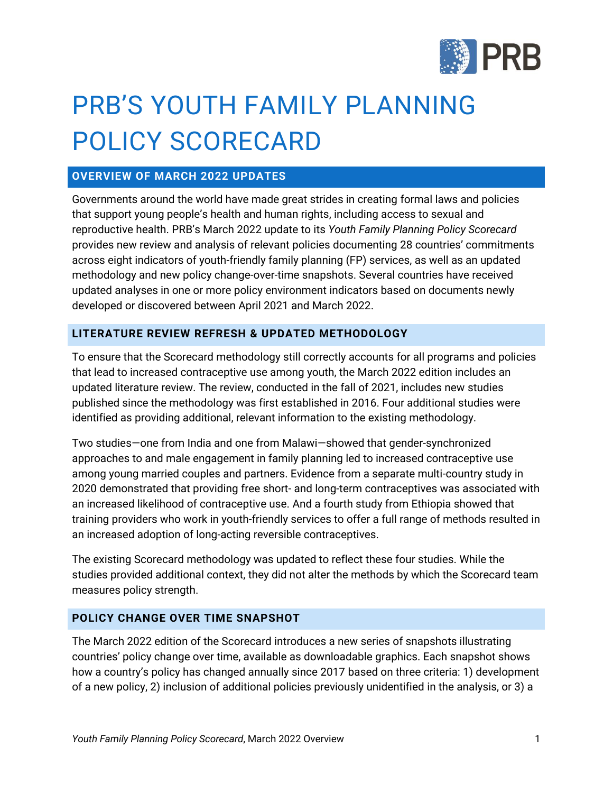

# PRB'S YOUTH FAMILY PLANNING POLICY SCORECARD

## **OVERVIEW OF MARCH 2022 UPDATES**

Governments around the world have made great strides in creating formal laws and policies that support young people's health and human rights, including access to sexual and reproductive health. PRB's March 2022 update to its *Youth Family Planning Policy Scorecard* provides new review and analysis of relevant policies documenting 28 countries' commitments across eight indicators of youth-friendly family planning (FP) services, as well as an updated methodology and new policy change-over-time snapshots. Several countries have received updated analyses in one or more policy environment indicators based on documents newly developed or discovered between April 2021 and March 2022.

### **LITERATURE REVIEW REFRESH & UPDATED METHODOLOGY**

To ensure that the Scorecard methodology still correctly accounts for all programs and policies that lead to increased contraceptive use among youth, the March 2022 edition includes an updated literature review. The review, conducted in the fall of 2021, includes new studies published since the methodology was first established in 2016. Four additional studies were identified as providing additional, relevant information to the existing methodology.

Two studies—one from India and one from Malawi—showed that gender-synchronized approaches to and male engagement in family planning led to increased contraceptive use among young married couples and partners. Evidence from a separate multi-country study in 2020 demonstrated that providing free short- and long-term contraceptives was associated with an increased likelihood of contraceptive use. And a fourth study from Ethiopia showed that training providers who work in youth-friendly services to offer a full range of methods resulted in an increased adoption of long-acting reversible contraceptives.

The existing Scorecard methodology was updated to reflect these four studies. While the studies provided additional context, they did not alter the methods by which the Scorecard team measures policy strength.

#### **POLICY CHANGE OVER TIME SNAPSHOT**

The March 2022 edition of the Scorecard introduces a new series of snapshots illustrating countries' policy change over time, available as downloadable graphics. Each snapshot shows how a country's policy has changed annually since 2017 based on three criteria: 1) development of a new policy, 2) inclusion of additional policies previously unidentified in the analysis, or 3) a